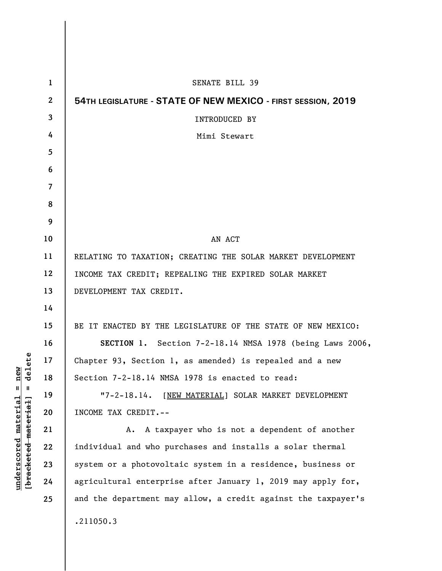| $\mathbf{1}$   | <b>SENATE BILL 39</b>                                         |
|----------------|---------------------------------------------------------------|
| $\mathbf{2}$   | 54TH LEGISLATURE - STATE OF NEW MEXICO - FIRST SESSION, 2019  |
| 3              | <b>INTRODUCED BY</b>                                          |
| 4              | Mimi Stewart                                                  |
| 5              |                                                               |
| 6              |                                                               |
| $\overline{7}$ |                                                               |
| 8              |                                                               |
| 9              |                                                               |
| 10             | AN ACT                                                        |
| 11             | RELATING TO TAXATION; CREATING THE SOLAR MARKET DEVELOPMENT   |
| 12             | INCOME TAX CREDIT; REPEALING THE EXPIRED SOLAR MARKET         |
| 13             | DEVELOPMENT TAX CREDIT.                                       |
| 14             |                                                               |
| 15             | BE IT ENACTED BY THE LEGISLATURE OF THE STATE OF NEW MEXICO:  |
| 16             | SECTION 1. Section 7-2-18.14 NMSA 1978 (being Laws 2006,      |
| 17             | Chapter 93, Section 1, as amended) is repealed and a new      |
| 18             | Section 7-2-18.14 NMSA 1978 is enacted to read:               |
| 19             | $"7 - 2 - 18.14.$<br>[NEW MATERIAL] SOLAR MARKET DEVELOPMENT  |
| 20             | INCOME TAX CREDIT.--                                          |
| 21             | A. A taxpayer who is not a dependent of another               |
| 22             | individual and who purchases and installs a solar thermal     |
| 23             | system or a photovoltaic system in a residence, business or   |
| 24             | agricultural enterprise after January 1, 2019 may apply for,  |
| 25             | and the department may allow, a credit against the taxpayer's |
|                | .211050.3                                                     |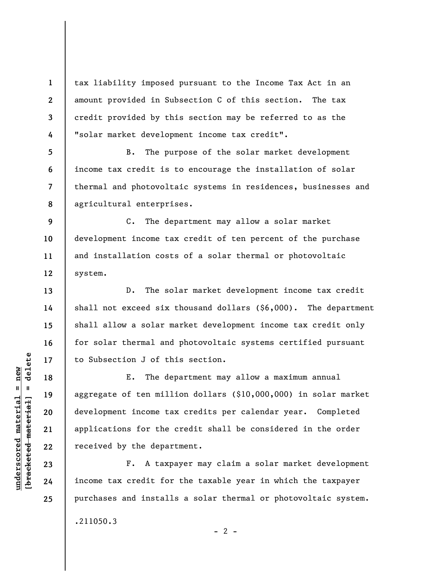tax liability imposed pursuant to the Income Tax Act in an amount provided in Subsection C of this section. The tax credit provided by this section may be referred to as the "solar market development income tax credit".

B. The purpose of the solar market development income tax credit is to encourage the installation of solar thermal and photovoltaic systems in residences, businesses and agricultural enterprises.

C. The department may allow a solar market development income tax credit of ten percent of the purchase and installation costs of a solar thermal or photovoltaic system.

D. The solar market development income tax credit shall not exceed six thousand dollars (\$6,000). The department shall allow a solar market development income tax credit only for solar thermal and photovoltaic systems certified pursuant to Subsection J of this section.

E. The department may allow a maximum annual aggregate of ten million dollars (\$10,000,000) in solar market development income tax credits per calendar year. Completed applications for the credit shall be considered in the order received by the department.

F. A taxpayer may claim a solar market development income tax credit for the taxable year in which the taxpayer purchases and installs a solar thermal or photovoltaic system.

 $- 2 -$ 

.211050.3

 $\frac{1}{2}$  intereted material = delete **[bracketed material] = delete**  $underscored material = new$ **underscored material = new**

**1** 

**2** 

**3** 

**4** 

**5** 

**6** 

**7** 

**8** 

**9** 

**10** 

**11** 

**12** 

**13** 

**14** 

**15** 

**16** 

**17** 

**18** 

**19** 

**20** 

**21** 

**22** 

**23** 

**24** 

**25**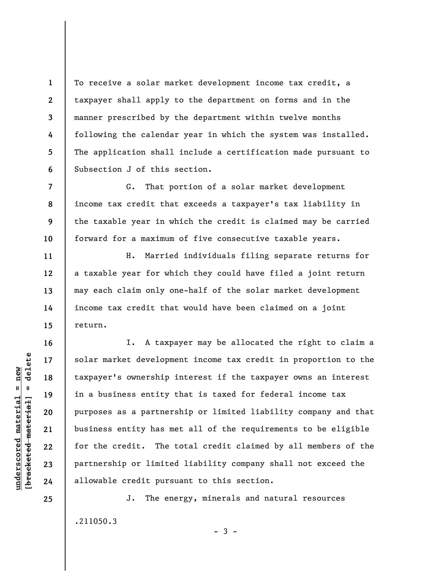To receive a solar market development income tax credit, a taxpayer shall apply to the department on forms and in the manner prescribed by the department within twelve months following the calendar year in which the system was installed. The application shall include a certification made pursuant to Subsection J of this section.

G. That portion of a solar market development income tax credit that exceeds a taxpayer's tax liability in the taxable year in which the credit is claimed may be carried forward for a maximum of five consecutive taxable years.

H. Married individuals filing separate returns for a taxable year for which they could have filed a joint return may each claim only one-half of the solar market development income tax credit that would have been claimed on a joint return.

I. A taxpayer may be allocated the right to claim a solar market development income tax credit in proportion to the taxpayer's ownership interest if the taxpayer owns an interest in a business entity that is taxed for federal income tax purposes as a partnership or limited liability company and that business entity has met all of the requirements to be eligible for the credit. The total credit claimed by all members of the partnership or limited liability company shall not exceed the allowable credit pursuant to this section.

J. The energy, minerals and natural resources .211050.3

 $-3 -$ 

 $\frac{1}{2}$  intereted material = delete **[bracketed material] = delete**  $underscored material = new$ **underscored material = new**

**25** 

**1** 

**2** 

**3** 

**4** 

**5** 

**6** 

**7** 

**8** 

**9** 

**10** 

**11** 

**12** 

**13** 

**14** 

**15** 

**16** 

**17** 

**18** 

**19** 

**20** 

**21** 

**22** 

**23** 

**24**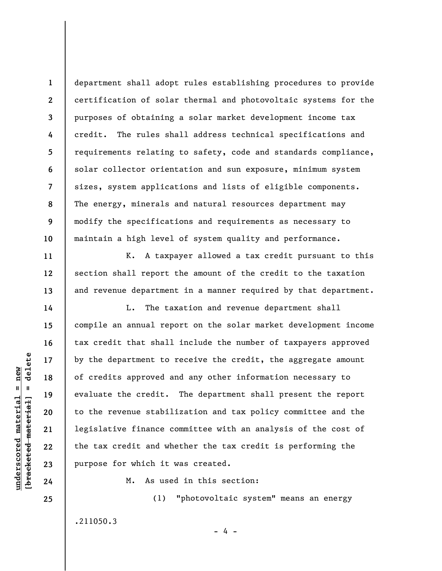**1 2 3 4 5 6 7 8 9 10**  department shall adopt rules establishing procedures to provide certification of solar thermal and photovoltaic systems for the purposes of obtaining a solar market development income tax credit. The rules shall address technical specifications and requirements relating to safety, code and standards compliance, solar collector orientation and sun exposure, minimum system sizes, system applications and lists of eligible components. The energy, minerals and natural resources department may modify the specifications and requirements as necessary to maintain a high level of system quality and performance.

K. A taxpayer allowed a tax credit pursuant to this section shall report the amount of the credit to the taxation and revenue department in a manner required by that department.

L. The taxation and revenue department shall compile an annual report on the solar market development income tax credit that shall include the number of taxpayers approved by the department to receive the credit, the aggregate amount of credits approved and any other information necessary to evaluate the credit. The department shall present the report to the revenue stabilization and tax policy committee and the legislative finance committee with an analysis of the cost of the tax credit and whether the tax credit is performing the purpose for which it was created.

M. As used in this section:

.211050.3

(1) "photovoltaic system" means an energy

 $\frac{1}{2}$  intereted material = delete **[bracketed material] = delete**  $underscored material = new$ **underscored material = new**

**11** 

**12** 

**13** 

**14** 

**15** 

**16** 

**17** 

**18** 

**19** 

**20** 

**21** 

**22** 

**23** 

**24** 

**25**